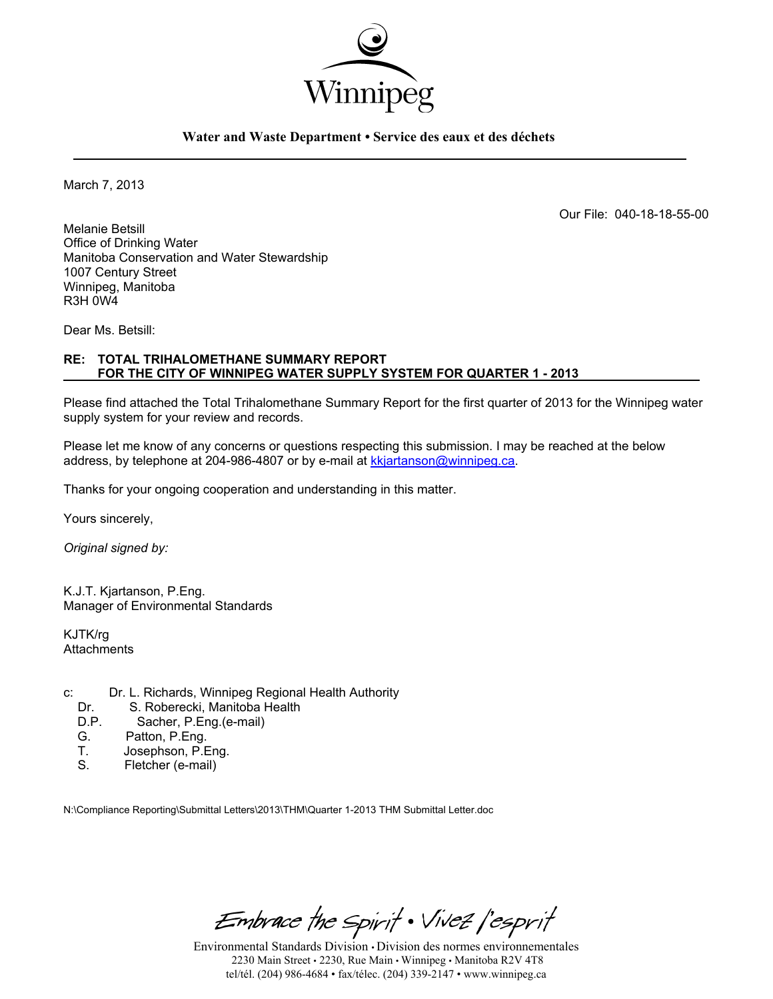

### **Water and Waste Department • Service des eaux et des déchets**

March 7, 2013

Our File: 040-18-18-55-00

Melanie Betsill Office of Drinking Water Manitoba Conservation and Water Stewardship 1007 Century Street Winnipeg, Manitoba R3H 0W4

Dear Ms. Betsill:

### **RE: TOTAL TRIHALOMETHANE SUMMARY REPORT FOR THE CITY OF WINNIPEG WATER SUPPLY SYSTEM FOR QUARTER 1 - 2013**

Please find attached the Total Trihalomethane Summary Report for the first quarter of 2013 for the Winnipeg water supply system for your review and records.

Please let me know of any concerns or questions respecting this submission. I may be reached at the below address, by telephone at 204-986-4807 or by e-mail at kkjartanson@winnipeg.ca.

Thanks for your ongoing cooperation and understanding in this matter.

Yours sincerely,

*Original signed by:* 

K.J.T. Kjartanson, P.Eng. Manager of Environmental Standards

KJTK/rg **Attachments** 

- c: Dr. L. Richards, Winnipeg Regional Health Authority<br>Dr. S. Roberecki. Manitoba Health
	- Dr. S. Roberecki, Manitoba Health<br>D.P. Sacher, P.Eng. (e-mail)
	- D.P. Sacher, P.Eng.(e-mail)<br>G. Patton. P.Eng.
	- G. Patton, P.Eng.<br>T. Josephson, P.E.
	- T. Josephson, P.Eng.<br>S. Fletcher (e-mail)
	- Fletcher (e-mail)

N:\Compliance Reporting\Submittal Letters\2013\THM\Quarter 1-2013 THM Submittal Letter.doc

Embrace the Spirit . Vivez l'esprit

Environmental Standards Division • Division des normes environnementales 2230 Main Street • 2230, Rue Main • Winnipeg • Manitoba R2V 4T8 tel/tél. (204) 986-4684 • fax/télec. (204) 339-2147 • www.winnipeg.ca